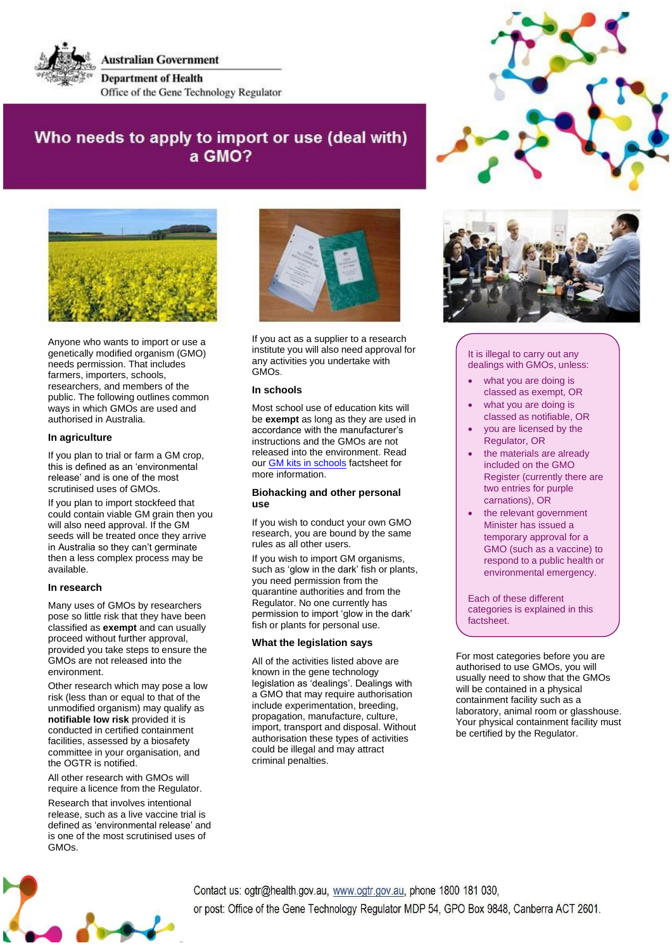

**Australian Government Department of Health** Office of the Gene Technology Regulator

# Who needs to apply to import or use (deal with) a GMO?



Anyone who wants to import or use a genetically modified organism (GMO) needs permission. That includes farmers, importers, schools, researchers, and members of the public. The following outlines common ways in which GMOs are used and authorised in Australia.

## **In agriculture**

If you plan to trial or farm a GM crop, this is defined as an 'environmental release' and is one of the most scrutinised uses of GMOs.

If you plan to import stockfeed that could contain viable GM grain then you will also need approval. If the GM seeds will be treated once they arrive in Australia so they can't germinate then a less complex process may be available.

#### **In research**

Many uses of GMOs by researchers pose so little risk that they have been classified as **exempt** and can usually proceed without further approval, provided you take steps to ensure the GMOs are not released into the environment.

Other research which may pose a low risk (less than or equal to that of the unmodified organism) may qualify as **notifiable low risk** provided it is conducted in certified containment facilities, assessed by a biosafety committee in your organisation, and the OGTR is notified.

All other research with GMOs will require a licence from the Regulator.

Research that involves intentional release, such as a live vaccine trial is defined as 'environmental release' and is one of the most scrutinised uses of GMOs.



If you act as a supplier to a research institute you will also need approval for any activities you undertake with GMOs.

## **In schools**

Most school use of education kits will be **exempt** as long as they are used in accordance with the manufacturer's instructions and the GMOs are not released into the environment. Read our [GM kits in schools](https://www.ogtr.gov.au/resources/publications/gmos-schools)</u> factsheet for more information.

### **Biohacking and other personal use**

If you wish to conduct your own GMO research, you are bound by the same rules as all other users.

If you wish to import GM organisms, such as 'glow in the dark' fish or plants, you need permission from the quarantine authorities and from the Regulator. No one currently has permission to import 'glow in the dark' fish or plants for personal use.

# **What the legislation says**

All of the activities listed above are known in the gene technology legislation as 'dealings'. Dealings with a GMO that may require authorisation include experimentation, breeding, propagation, manufacture, culture, import, transport and disposal. Without authorisation these types of activities could be illegal and may attract criminal penalties.





#### It is illegal to carry out any dealings with GMOs, unless:

- what you are doing is classed as exempt, OR
- what you are doing is classed as notifiable, OR
- you are licensed by the Regulator, OR
- the materials are already included on the GMO Register (currently there are two entries for purple carnations), OR
- the relevant government Minister has issued a temporary approval for a GMO (such as a vaccine) to respond to a public health or environmental emergency.

Each of these different categories is explained in this factsheet.

For most categories before you are authorised to use GMOs, you will usually need to show that the GMOs will be contained in a physical containment facility such as a laboratory, animal room or glasshouse. Your physical containment facility must be certified by the Regulator.



Contact us: ogtr@health.gov.au, www.ogtr.gov.au, phone 1800 181 030, or post: Office of the Gene Technology Regulator MDP 54, GPO Box 9848, Canberra ACT 2601.